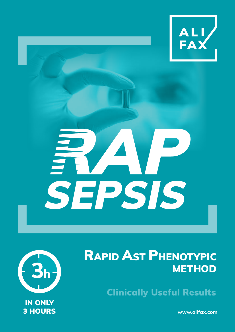

# SEPSIS



## RAPID AST PHENOTYPIC **METHOD**

Clinically Useful Results

**www.alifax.com**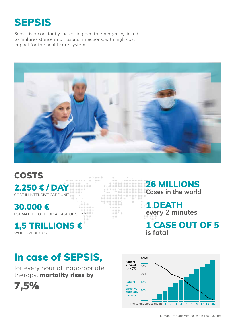

Sepsis is a constantly increasing health emergency, linked to multiresistance and hospital infections, with high cost impact for the healthcare system



**COSTS** 2.250 € / DAY COST IN INTENSIVE CARE UNIT

30.000 € ESTIMATED COST FOR A CASE OF SEPSIS

1,5 TRILLIONS € WORLDWIDE COST

26 MILLIONS **Cases in the world**

1 DEATH **every 2 minutes**

1 CASE OUT OF 5 **is fatal**

## In case of SEPSIS,

for every hour of inappropriate therapy, mortality rises by



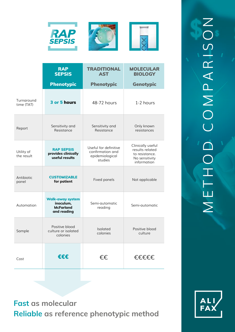

|                          | <b>RAP</b><br><b>SEPSIS</b>                                             | <b>TRADITIONAL</b><br><b>AST</b>                                        | <b>MOLECULAR</b><br><b>BIOLOGY</b>                                                      |
|--------------------------|-------------------------------------------------------------------------|-------------------------------------------------------------------------|-----------------------------------------------------------------------------------------|
|                          | <b>Phenotypic</b>                                                       | <b>Phenotypic</b>                                                       | <b>Genotypic</b>                                                                        |
| Turnaround<br>time (TAT) | 3 or 5 hours                                                            | 48-72 hours                                                             | 1-2 hours                                                                               |
| Report                   | Sensitivity and<br>Resistance                                           | Sensitivity and<br>Resistance                                           | Only known<br>resistances                                                               |
| Utility of<br>the result | <b>RAP SEPSIS</b><br>provides clinically<br>useful results              | Useful for definitive<br>confirmation and<br>epidemiological<br>studies | Clinically useful<br>results related<br>to resistance.<br>No sensitivity<br>information |
| Antibiotic<br>panel      | <b>CUSTOMIZABLE</b><br>for patient                                      | Fixed panels                                                            | Not applicable                                                                          |
| Automation               | <b>Walk-away system</b><br>inoculum,<br><b>McFarland</b><br>and reading | Semi-automatic<br>reading                                               | Semi-automatic                                                                          |
| Sample                   | Positive blood<br>culture or isolated<br>colonies                       | <b>Isolated</b><br>colonies                                             | Positive blood<br>culture                                                               |
| Cost                     | €€€                                                                     | €€                                                                      | €€€€€                                                                                   |

**Fast as molecular Reliable as reference phenotypic method**

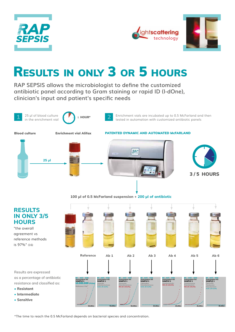



## Results in only 3 or 5 hours

**RAP SEPSIS allows the microbiologist to define the customized antibiotic panel according to Gram staining or rapid ID (I-dOne), clinician's input and patient's specific needs**



#### Enrichment vials are incubated up to 0.5 McFarland and then tested in automation with customized antibiotic panels





#### **100 μl of 0.5 McFarland suspension + 200 μl of antibiotic**



\*The time to reach the 0.5 McFarland depends on bacterial species and concentration.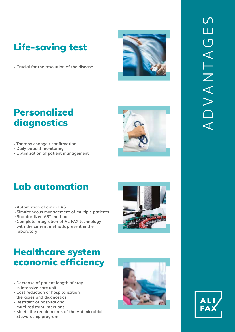## Life-saving test

· **Crucial for the resolution of the disease**

### Personalized diagnostics

- · **Therapy change / confirmation**
- · **Daily patient monitoring**
- · **Optimization of patient management**

## Lab automation

- · **Automation of clinical AST**
- · **Simultaneous management of multiple patients**
- · **Standardized AST method**
- · **Complete integration of ALIFAX technology with the current methods present in the laboratory**

## Healthcare system economic efficiency

- · **Decrease of patient length of stay in intensive care unit**
- · **Cost reduction of hospitalization, therapies and diagnostics**
- · **Restraint of hospital and multi-resistant infections**
- · **Meets the requirements of the Antimicrobial Stewardship program**







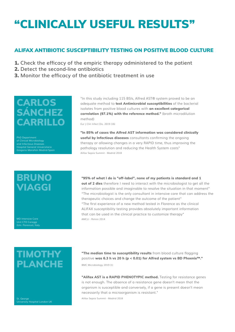## "CLINICALLY USEFUL RESULTS"

#### ALIFAX ANTIBIOTIC SUSCEPTIBILITY TESTING ON POSITIVE BLOOD CULTURE

- 1. **Check the efficacy of the empiric therapy administered to the patient**
- 2. **Detect the second-line antibiotics**
- 3. **Monitor the efficacy of the antibiotic treatment in use**

#### CARLOS SÁNCHEZ CARRILLO

of Clinical Microbiology and Infectious Diseases Gregorio Marañón Madrid-Spain

#### **BRUNO** VIAGGI

(Uni. Florence), Italy

"In this study including 115 BSIs, Alfred AST® system proved to be an adequate method to **test Antimicrobial susceptibilities** of the bacterial isolates from positive blood cultures with **an excellent categorical correlation (97.1%) with the reference method."** (broth microdilution method)

Eur J Clin Infect Dis. 2019 (16)

**"In 85% of cases the Alfred AST information was considered clinically useful by Infectious diseases** consultants confirming the ongoing therapy or allowing changes in a very RAPID time, thus improving the pathology resolution and reducing the Health System costs" Alifax Sepsis Summit - Madrid 2018

**"95% of what I do is "off-label", none of my patients is standard and 1 out of 2 dies** therefore I need to interact with the microbiologist to get all the information possible and imaginable to resolve the situation in that moment" "The microbiologist is the only consultant in intensive care that can address the therapeutic choices and change the outcome of the patient" "The first experience of a new method tested in Florence as the clinical ALIFAX susceptibility testing provides absolutely important information that can be used in the clinical practice to customize therapy" AMCLI - Rimini 2014

#### **TIMOTHY** PLANCHE

St. George University Hospital London UK

**"The median time to susceptibility results** from blood culture flagging positive **was 6.3 h vs 20 h (p < 0.01) for Alfred system vs BD Phoenix™."**

BMC Microbiology 2019 (1)

**"Alifax AST is a RAPID PHENOTYPIC method.** Testing for resistance genes is not enough. The absence of a resistance gene doesn't mean that the organism is susceptible and conversely, if a gene is present doesn't mean necessarily that a microorganism is resistant."

Alifax Sepsis Summit - Madrid 2018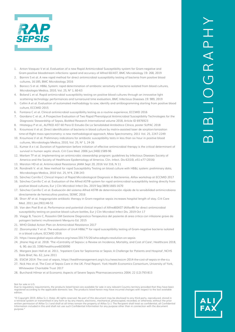

- 1. Anton-Vasquez V et al. Evaluation of a new Rapid Antimicrobial Susceptibility system for Gram-negative and Gram-positive bloodstream infections: speed and accuracy of Alfred 60/AST, BMC Microbiology 19: 268, 2019
- 2. Barnini S et al. A new rapid method for direct antimicrobial susceptibility testing of bacteria from positive blood cultures, 16:185, BMC Microbiology 2016
- Barocci S et al. HB&L System: rapid determination of antibiotic sensitivity of bacteria isolated from blood cultures, Microbiologia Medica, 2010, Vol. 25, N° 1, 60-63
- 4. Boland L et al. Rapid antimicrobial susceptibility testing on positive blood cultures through an innovative light scattering technology: performances and turnaround time evaluation, BMC Infectious Diseases 19: 989, 2019
- 5. Cellini A et al. Evaluation of automated methodology to sow, identify and antibiogramming starting from positive blood culture, ECCMID 2015
- 6. Fontana C et al. Clinical antimicrobial susceptibility testing as a routine experience, ECCMID 2016
- 7. Giordano C et al., A Prospective Evaluation of Two Rapid Phenotipycal Antimicrobial Susceptibility Technologies for the Diagnostic Stewardship of Sepsis, BioMed Research International volume 2018, Article ID 6976923
- 8. Hitateguy P et al., ALFRED AST 60 Para El Estudio De La Sensibilidad Antibiótica Clínica, poster SUPAC 2018
- 9. Kroumova V et al. Direct identification of bacteria in blood culture by matrix-assisted laser de sorption/ionization time-of-flight mass spectrometry: a new methodological approach, Mass Spectrometry, 2011 Vol. 25, 2247-2249
- 10. Kroumova V et al. Preliminary indications for antibiotic susceptibility tests in less than six hour in positive blood cultures, Microbiologia Medica, 2010, Vol. 25, N° 1, 24-26
- 11. Kumar A e t al. Duration of hypotension before initiation of effective antimicrobial therapy is the critical determinant of survival in human septic shock. Crit Care Med. 2006 Jun;34(6):1589-96
- 12. Marlam TF et al. Implementing an antimicrobic stewardship program: guidelines by Infectious Diseases Society of America and the Society of Healthcare Epidemiology of America. Clin. Infect. Dis 62(10), e51-e77 (2016)
- 13. Marston HD et al. Antimicrobial Resistance JAMA Sept 20, 2016 Vol 316, N 11
- 14. Rondinelli V. et al. New method for rapid Susceptibility Testing on blood culture with HB&L system: preliminary data, Microbiologia Medica, 2010 Vol. 25, N°4, 238-243
- 15. Sánchez Carrillo C Clinical Impact of Rapid Microbiological Diagnosis in Bacteremia. Alifax workshop at ECCMID 2017 16. Sánchez Carrillo C et al. Evaluation of the Alfred AST® system for rapid antimicrobial susceptibility testing directly from
- positive blood cultures, Eur J Clin Microbiol Infect Dis. 2019 Sep;38(9):1665-1670
- 17. Sánchez Carrillo C et al. Evaluación del sistema Alfred AST® de determinación rápida de la sensibilidad antimicrobiana directamente de hemocultivo positivo, SEIMC 2016
- 18. Shorr AF et al. Inappropriate antibiotic therapy in Gram-negative sepsis increases hospital length of stay. Crit Care Med. 2011 Jan;39(1):46-51
- 19. Van den Poel B et al. Performance and potential clinical impact of Alfred60AST (Alifax®) for direct antimicrobial susceptibility testing on positive blood culture bottles, Eur J Clin Microbiol Infect Dis. 2019 Oct 17
- 20. Viaggi B, Tascini C, Rossolini GM Gestione Diagnostico-Terapeutica del paziente di area critica con infezione grave da patogeni batterici multiresistenti Merqurio Ed. 2015
- 21. WHO Global Action Plan on Antimicrobial Resistance 2017
- 22. Zboromyrska Y et al. The evaluation of Uro4 HB&L™ for rapid susceptibility testing of Gram-negative bacteria isolated in a blood culture, ECCMID 2016
- 23. https://www.global-sepsis-alliance.org/news/2017/5/26/wha-adopts-resolution-on-sepsis
- 24. Jihane Hajj et al. 2018. 'The «Centrality of Sepsis»: a Review on Incidence, Mortality, and Cost of Care', Healthcare 2018, 6, 90; doi:10, 3390/healthcare6030090
- 25. Margare Jean Hall et al. 2011. 'Inpatient Care for Septicemia or Sepsis: A Challenge for Patients and Hospital', NCHS Date Brief, No. 62, June 2011
- 26. ESICM 2014: The cost of sepsis, https://healthmanagement.org/c/icu/news/esicm-2014-the-cost-of-sepsis-in-the-icu
- 27. Nick Hex et al. The Cost of Sepsis Care in the UK. Final Report. York Health Economics Consortium, University of York, Whitewater Charitable Trust 2017
- 28. Burchardi Hilmar et al Economic Aspects of Severe Sepsis Pharmacoeconomics 2004; 22 (12):793-813

#### Not for sale in U.S.

Due to regulatory requirements, the products listed herein are available for sale in any relevant Country territory provided that they have been registered according to the applicable domestic law. The products listed herein may have incurred changes with respect to the last available edition.

"© Copyright 2019. Alifax S.r.l. (Italy). All rights reserved. No part of this document may be disclosed to any third party, reproduced, stored in a retrieval system or transmitted in any form or by any means, electronic, mechanical, photocopied, recorded, or otherwise, without the prior written permission of Alifax S.r.I and shall at all times remain the property of Alifax S.r.I. The Recipient shall treat as confidential, all Confidential<br>Information included in this and shall not use such Confidential In purpose.